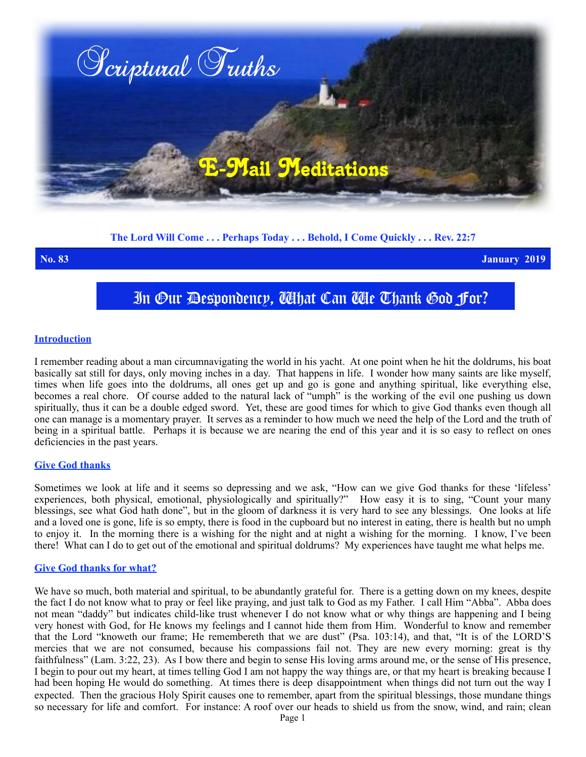

**The Lord Will Come . . . Perhaps Today . . . Behold, I Come Quickly . . . Rev. 22:7**

**No. 83 January 2019**

In Our Despondency, What Can We Thank God For?

## **Introduction**

I remember reading about a man circumnavigating the world in his yacht. At one point when he hit the doldrums, his boat basically sat still for days, only moving inches in a day. That happens in life. I wonder how many saints are like myself, times when life goes into the doldrums, all ones get up and go is gone and anything spiritual, like everything else, becomes a real chore. Of course added to the natural lack of "umph" is the working of the evil one pushing us down spiritually, thus it can be a double edged sword. Yet, these are good times for which to give God thanks even though all one can manage is a momentary prayer. It serves as a reminder to how much we need the help of the Lord and the truth of being in a spiritual battle. Perhaps it is because we are nearing the end of this year and it is so easy to reflect on ones deficiencies in the past years.

## **Give God thanks**

Sometimes we look at life and it seems so depressing and we ask, "How can we give God thanks for these 'lifeless' experiences, both physical, emotional, physiologically and spiritually?" How easy it is to sing, "Count your many blessings, see what God hath done", but in the gloom of darkness it is very hard to see any blessings. One looks at life and a loved one is gone, life is so empty, there is food in the cupboard but no interest in eating, there is health but no umph to enjoy it. In the morning there is a wishing for the night and at night a wishing for the morning. I know, I've been there! What can I do to get out of the emotional and spiritual doldrums? My experiences have taught me what helps me.

## **Give God thanks for what?**

We have so much, both material and spiritual, to be abundantly grateful for. There is a getting down on my knees, despite the fact I do not know what to pray or feel like praying, and just talk to God as my Father. I call Him "Abba". Abba does not mean "daddy" but indicates child-like trust whenever I do not know what or why things are happening and I being very honest with God, for He knows my feelings and I cannot hide them from Him. Wonderful to know and remember that the Lord "knoweth our frame; He remembereth that we are dust" (Psa. 103:14), and that, "It is of the LORD'S mercies that we are not consumed, because his compassions fail not. They are new every morning: great is thy faithfulness" (Lam. 3:22, 23). As I bow there and begin to sense His loving arms around me, or the sense of His presence, I begin to pour out my heart, at times telling God I am not happy the way things are, or that my heart is breaking because I had been hoping He would do something. At times there is deep disappointment when things did not turn out the way I expected. Then the gracious Holy Spirit causes one to remember, apart from the spiritual blessings, those mundane things so necessary for life and comfort. For instance: A roof over our heads to shield us from the snow, wind, and rain; clean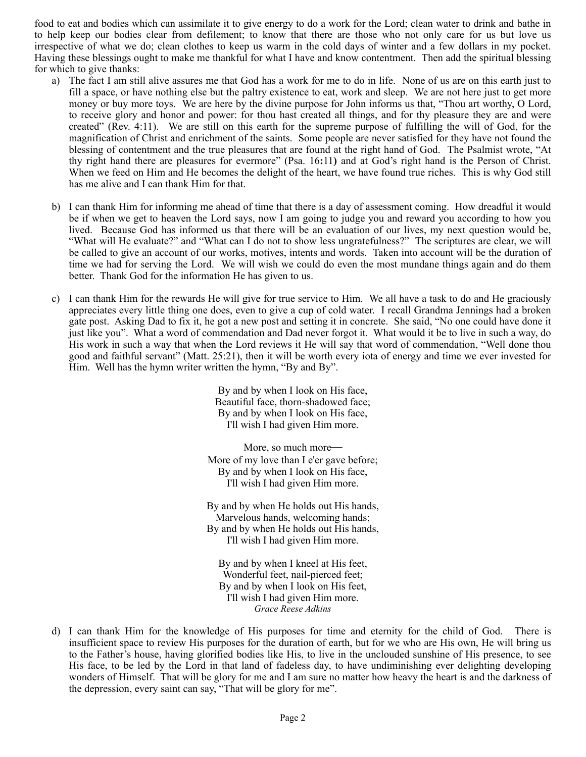food to eat and bodies which can assimilate it to give energy to do a work for the Lord; clean water to drink and bathe in to help keep our bodies clear from defilement; to know that there are those who not only care for us but love us irrespective of what we do; clean clothes to keep us warm in the cold days of winter and a few dollars in my pocket. Having these blessings ought to make me thankful for what I have and know contentment. Then add the spiritual blessing for which to give thanks:

- a) The fact I am still alive assures me that God has a work for me to do in life. None of us are on this earth just to fill a space, or have nothing else but the paltry existence to eat, work and sleep. We are not here just to get more money or buy more toys. We are here by the divine purpose for John informs us that, "Thou art worthy, O Lord, to receive glory and honor and power: for thou hast created all things, and for thy pleasure they are and were created" (Rev. 4:11). We are still on this earth for the supreme purpose of fulfilling the will of God, for the magnification of Christ and enrichment of the saints. Some people are never satisfied for they have not found the blessing of contentment and the true pleasures that are found at the right hand of God. The Psalmist wrote, "At thy right hand there are pleasures for evermore" (Psa. 16**:**11**)** and at God's right hand is the Person of Christ. When we feed on Him and He becomes the delight of the heart, we have found true riches. This is why God still has me alive and I can thank Him for that.
- b) I can thank Him for informing me ahead of time that there is a day of assessment coming. How dreadful it would be if when we get to heaven the Lord says, now I am going to judge you and reward you according to how you lived. Because God has informed us that there will be an evaluation of our lives, my next question would be, "What will He evaluate?" and "What can I do not to show less ungratefulness?" The scriptures are clear, we will be called to give an account of our works, motives, intents and words. Taken into account will be the duration of time we had for serving the Lord. We will wish we could do even the most mundane things again and do them better. Thank God for the information He has given to us.
- c) I can thank Him for the rewards He will give for true service to Him. We all have a task to do and He graciously appreciates every little thing one does, even to give a cup of cold water. I recall Grandma Jennings had a broken gate post. Asking Dad to fix it, he got a new post and setting it in concrete. She said, "No one could have done it just like you". What a word of commendation and Dad never forgot it. What would it be to live in such a way, do His work in such a way that when the Lord reviews it He will say that word of commendation, "Well done thou good and faithful servant" (Matt. 25:21), then it will be worth every iota of energy and time we ever invested for Him. Well has the hymn writer written the hymn, "By and By".

By and by when I look on His face, Beautiful face, thorn-shadowed face; By and by when I look on His face, I'll wish I had given Him more.

More, so much more-More of my love than I e'er gave before; By and by when I look on His face, I'll wish I had given Him more.

By and by when He holds out His hands, Marvelous hands, welcoming hands; By and by when He holds out His hands, I'll wish I had given Him more.

By and by when I kneel at His feet, Wonderful feet, nail-pierced feet; By and by when I look on His feet, I'll wish I had given Him more. *Grace Reese Adkins*

d) I can thank Him for the knowledge of His purposes for time and eternity for the child of God. There is insufficient space to review His purposes for the duration of earth, but for we who are His own, He will bring us to the Father's house, having glorified bodies like His, to live in the unclouded sunshine of His presence, to see His face, to be led by the Lord in that land of fadeless day, to have undiminishing ever delighting developing wonders of Himself. That will be glory for me and I am sure no matter how heavy the heart is and the darkness of the depression, every saint can say, "That will be glory for me".